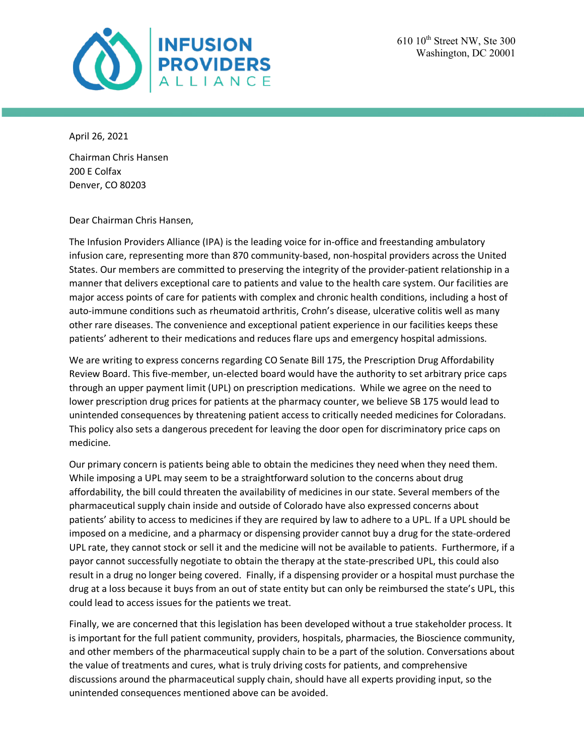

April 26, 2021

Chairman Chris Hansen 200 E Colfax Denver, CO 80203

Dear Chairman Chris Hansen,

The Infusion Providers Alliance (IPA) is the leading voice for in-office and freestanding ambulatory infusion care, representing more than 870 community-based, non-hospital providers across the United States. Our members are committed to preserving the integrity of the provider-patient relationship in a manner that delivers exceptional care to patients and value to the health care system. Our facilities are major access points of care for patients with complex and chronic health conditions, including a host of auto-immune conditions such as rheumatoid arthritis, Crohn's disease, ulcerative colitis well as many other rare diseases. The convenience and exceptional patient experience in our facilities keeps these patients' adherent to their medications and reduces flare ups and emergency hospital admissions.

We are writing to express concerns regarding CO Senate Bill 175, the Prescription Drug Affordability Review Board. This five-member, un-elected board would have the authority to set arbitrary price caps through an upper payment limit (UPL) on prescription medications. While we agree on the need to lower prescription drug prices for patients at the pharmacy counter, we believe SB 175 would lead to unintended consequences by threatening patient access to critically needed medicines for Coloradans. This policy also sets a dangerous precedent for leaving the door open for discriminatory price caps on medicine.

Our primary concern is patients being able to obtain the medicines they need when they need them. While imposing a UPL may seem to be a straightforward solution to the concerns about drug affordability, the bill could threaten the availability of medicines in our state. Several members of the pharmaceutical supply chain inside and outside of Colorado have also expressed concerns about patients' ability to access to medicines if they are required by law to adhere to a UPL. If a UPL should be imposed on a medicine, and a pharmacy or dispensing provider cannot buy a drug for the state-ordered UPL rate, they cannot stock or sell it and the medicine will not be available to patients. Furthermore, if a payor cannot successfully negotiate to obtain the therapy at the state-prescribed UPL, this could also result in a drug no longer being covered. Finally, if a dispensing provider or a hospital must purchase the drug at a loss because it buys from an out of state entity but can only be reimbursed the state's UPL, this could lead to access issues for the patients we treat.

Finally, we are concerned that this legislation has been developed without a true stakeholder process. It is important for the full patient community, providers, hospitals, pharmacies, the Bioscience community, and other members of the pharmaceutical supply chain to be a part of the solution. Conversations about the value of treatments and cures, what is truly driving costs for patients, and comprehensive discussions around the pharmaceutical supply chain, should have all experts providing input, so the unintended consequences mentioned above can be avoided.